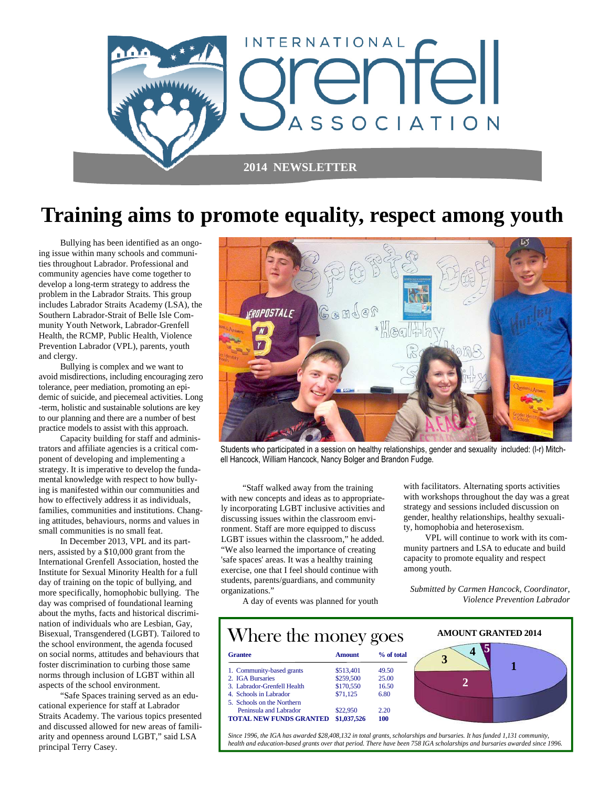

#### **Training aims to promote equality, respect among youth**

 Bullying has been identified as an ongoing issue within many schools and communities throughout Labrador. Professional and community agencies have come together to develop a long-term strategy to address the problem in the Labrador Straits. This group includes Labrador Straits Academy (LSA), the Southern Labrador-Strait of Belle Isle Community Youth Network, Labrador-Grenfell Health, the RCMP, Public Health, Violence Prevention Labrador (VPL), parents, youth and clergy.

 Bullying is complex and we want to avoid misdirections, including encouraging zero tolerance, peer mediation, promoting an epidemic of suicide, and piecemeal activities. Long -term, holistic and sustainable solutions are key to our planning and there are a number of best practice models to assist with this approach.

 Capacity building for staff and administrators and affiliate agencies is a critical component of developing and implementing a strategy. It is imperative to develop the fundamental knowledge with respect to how bullying is manifested within our communities and how to effectively address it as individuals, families, communities and institutions. Changing attitudes, behaviours, norms and values in small communities is no small feat.

 In December 2013, VPL and its partners, assisted by a \$10,000 grant from the International Grenfell Association, hosted the Institute for Sexual Minority Health for a full day of training on the topic of bullying, and more specifically, homophobic bullying. The day was comprised of foundational learning about the myths, facts and historical discrimination of individuals who are Lesbian, Gay, Bisexual, Transgendered (LGBT). Tailored to the school environment, the agenda focused on social norms, attitudes and behaviours that foster discrimination to curbing those same norms through inclusion of LGBT within all aspects of the school environment.

 "Safe Spaces training served as an educational experience for staff at Labrador Straits Academy. The various topics presented and discussed allowed for new areas of familiarity and openness around LGBT," said LSA principal Terry Casey.



Students who participated in a session on healthy relationships, gender and sexuality included: (l-r) Mitchell Hancock, William Hancock, Nancy Bolger and Brandon Fudge.

 "Staff walked away from the training with new concepts and ideas as to appropriately incorporating LGBT inclusive activities and discussing issues within the classroom environment. Staff are more equipped to discuss LGBT issues within the classroom," he added. "We also learned the importance of creating 'safe spaces' areas. It was a healthy training exercise, one that I feel should continue with students, parents/guardians, and community organizations."

with facilitators. Alternating sports activities with workshops throughout the day was a great strategy and sessions included discussion on gender, healthy relationships, healthy sexuality, homophobia and heterosexism.

 VPL will continue to work with its community partners and LSA to educate and build capacity to promote equality and respect among youth.

*Submitted by Carmen Hancock, Coordinator, Violence Prevention Labrador* 

A day of events was planned for youth

| Where the money goes           |               |            | <b>AMOUNT GRANTED 2014</b> |  |
|--------------------------------|---------------|------------|----------------------------|--|
| <b>Grantee</b>                 | <b>Amount</b> | % of total |                            |  |
| 1. Community-based grants      | \$513.401     | 49.50      |                            |  |
| 2. IGA Bursaries               | \$259,500     | 25.00      |                            |  |
| 3. Labrador-Grenfell Health    | \$170,550     | 16.50      |                            |  |
| 4. Schools in Labrador         | \$71,125      | 6.80       |                            |  |
| 5. Schools on the Northern     |               |            |                            |  |
| Peninsula and Labrador         | \$22,950      | 2.20       |                            |  |
| <b>TOTAL NEW FUNDS GRANTED</b> | \$1,037,526   | 100        |                            |  |

*Since 1996, the IGA has awarded \$28,408,132 in total grants, scholarships and bursaries. It has funded 1,131 community, health and education-based grants over that period. There have been 758 IGA scholarships and bursaries awarded since 1996.*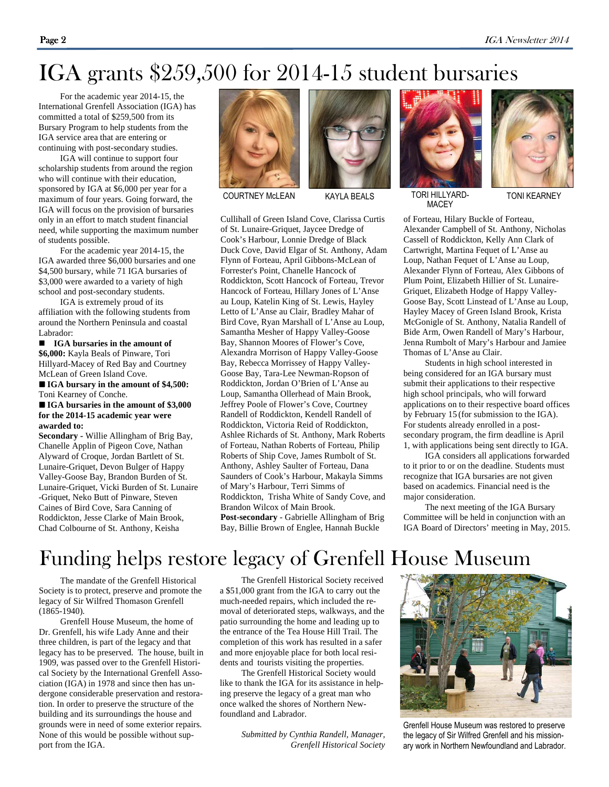## IGA grants \$259,500 for 2014-15 student bursaries

 For the academic year 2014-15, the International Grenfell Association (IGA) has committed a total of \$259,500 from its Bursary Program to help students from the IGA service area that are entering or continuing with post-secondary studies.

 IGA will continue to support four scholarship students from around the region who will continue with their education, sponsored by IGA at \$6,000 per year for a maximum of four years. Going forward, the IGA will focus on the provision of bursaries only in an effort to match student financial need, while supporting the maximum number of students possible.

 For the academic year 2014-15, the IGA awarded three \$6,000 bursaries and one \$4,500 bursary, while 71 IGA bursaries of \$3,000 were awarded to a variety of high school and post-secondary students.

 IGA is extremely proud of its affiliation with the following students from around the Northern Peninsula and coastal Labrador:

 **IGA bursaries in the amount of \$6,000:** Kayla Beals of Pinware, Tori Hillyard-Macey of Red Bay and Courtney McLean of Green Island Cove.

 **IGA bursary in the amount of \$4,500:**  Toni Kearney of Conche.

#### **IGA bursaries in the amount of \$3,000 for the 2014-15 academic year were awarded to:**

**Secondary -** Willie Allingham of Brig Bay, Chanelle Applin of Pigeon Cove, Nathan Alyward of Croque, Jordan Bartlett of St. Lunaire-Griquet, Devon Bulger of Happy Valley-Goose Bay, Brandon Burden of St. Lunaire-Griquet, Vicki Burden of St. Lunaire -Griquet, Neko Butt of Pinware, Steven Caines of Bird Cove, Sara Canning of Roddickton, Jesse Clarke of Main Brook, Chad Colbourne of St. Anthony, Keisha





Cullihall of Green Island Cove, Clarissa Curtis of St. Lunaire-Griquet, Jaycee Dredge of Cook's Harbour, Lonnie Dredge of Black Duck Cove, David Elgar of St. Anthony, Adam Flynn of Forteau, April Gibbons-McLean of Forrester's Point, Chanelle Hancock of Roddickton, Scott Hancock of Forteau, Trevor Hancock of Forteau, Hillary Jones of L'Anse au Loup, Katelin King of St. Lewis, Hayley Letto of L'Anse au Clair, Bradley Mahar of Bird Cove, Ryan Marshall of L'Anse au Loup, Samantha Mesher of Happy Valley-Goose Bay, Shannon Moores of Flower's Cove, Alexandra Morrison of Happy Valley-Goose Bay, Rebecca Morrissey of Happy Valley-Goose Bay, Tara-Lee Newman-Ropson of Roddickton, Jordan O'Brien of L'Anse au Loup, Samantha Ollerhead of Main Brook, Jeffrey Poole of Flower's Cove, Courtney Randell of Roddickton, Kendell Randell of Roddickton, Victoria Reid of Roddickton, Ashlee Richards of St. Anthony, Mark Roberts of Forteau, Nathan Roberts of Forteau, Philip Roberts of Ship Cove, James Rumbolt of St. Anthony, Ashley Saulter of Forteau, Dana Saunders of Cook's Harbour, Makayla Simms of Mary's Harbour, Terri Simms of Roddickton, Trisha White of Sandy Cove, and Brandon Wilcox of Main Brook. **Post-secondary** - Gabrielle Allingham of Brig Bay, Billie Brown of Englee, Hannah Buckle



MACEY



TONI KEARNEY

of Forteau, Hilary Buckle of Forteau, Alexander Campbell of St. Anthony, Nicholas Cassell of Roddickton, Kelly Ann Clark of Cartwright, Martina Fequet of L'Anse au Loup, Nathan Fequet of L'Anse au Loup, Alexander Flynn of Forteau, Alex Gibbons of Plum Point, Elizabeth Hillier of St. Lunaire-Griquet, Elizabeth Hodge of Happy Valley-Goose Bay, Scott Linstead of L'Anse au Loup, Hayley Macey of Green Island Brook, Krista McGonigle of St. Anthony, Natalia Randell of Bide Arm, Owen Randell of Mary's Harbour, Jenna Rumbolt of Mary's Harbour and Jamiee Thomas of L'Anse au Clair.

 Students in high school interested in being considered for an IGA bursary must submit their applications to their respective high school principals, who will forward applications on to their respective board offices by February 15 (for submission to the IGA). For students already enrolled in a postsecondary program, the firm deadline is April 1, with applications being sent directly to IGA.

 IGA considers all applications forwarded to it prior to or on the deadline. Students must recognize that IGA bursaries are not given based on academics. Financial need is the major consideration.

 The next meeting of the IGA Bursary Committee will be held in conjunction with an IGA Board of Directors' meeting in May, 2015.

### Funding helps restore legacy of Grenfell House Museum

 The mandate of the Grenfell Historical Society is to protect, preserve and promote the legacy of Sir Wilfred Thomason Grenfell (1865-1940).

 Grenfell House Museum, the home of Dr. Grenfell, his wife Lady Anne and their three children, is part of the legacy and that legacy has to be preserved. The house, built in 1909, was passed over to the Grenfell Historical Society by the International Grenfell Association (IGA) in 1978 and since then has undergone considerable preservation and restoration. In order to preserve the structure of the building and its surroundings the house and grounds were in need of some exterior repairs. None of this would be possible without support from the IGA.

 The Grenfell Historical Society received a \$51,000 grant from the IGA to carry out the much-needed repairs, which included the removal of deteriorated steps, walkways, and the patio surrounding the home and leading up to the entrance of the Tea House Hill Trail. The completion of this work has resulted in a safer and more enjoyable place for both local residents and tourists visiting the properties.

 The Grenfell Historical Society would like to thank the IGA for its assistance in helping preserve the legacy of a great man who once walked the shores of Northern Newfoundland and Labrador.

> *Submitted by Cynthia Randell, Manager, Grenfell Historical Society*



Grenfell House Museum was restored to preserve the legacy of Sir Wilfred Grenfell and his missionary work in Northern Newfoundland and Labrador.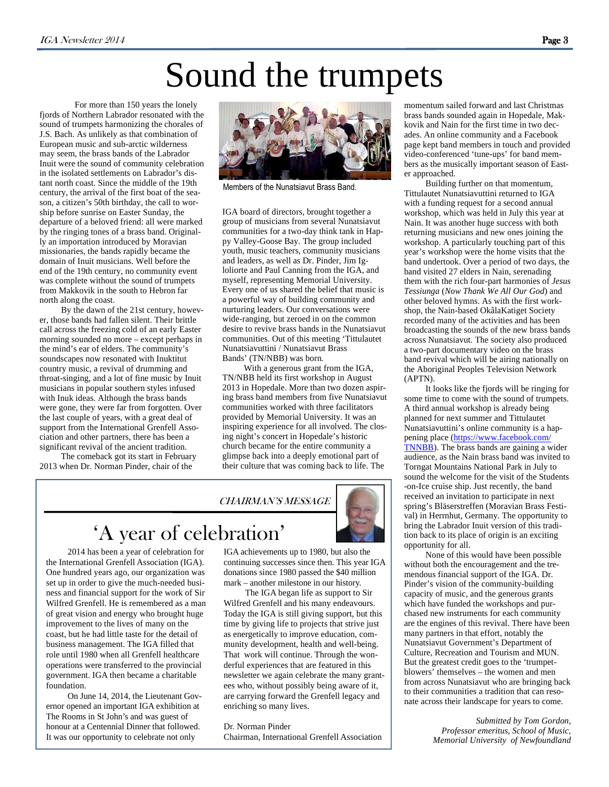# Sound the trumpets

For more than 150 years the lonely fjords of Northern Labrador resonated with the sound of trumpets harmonizing the chorales of J.S. Bach. As unlikely as that combination of European music and sub-arctic wilderness may seem, the brass bands of the Labrador Inuit were the sound of community celebration in the isolated settlements on Labrador's distant north coast. Since the middle of the 19th century, the arrival of the first boat of the season, a citizen's 50th birthday, the call to worship before sunrise on Easter Sunday, the departure of a beloved friend: all were marked by the ringing tones of a brass band. Originally an importation introduced by Moravian missionaries, the bands rapidly became the domain of Inuit musicians. Well before the end of the 19th century, no community event was complete without the sound of trumpets from Makkovik in the south to Hebron far north along the coast.

 By the dawn of the 21st century, however, those bands had fallen silent. Their brittle call across the freezing cold of an early Easter morning sounded no more – except perhaps in the mind's ear of elders. The community's soundscapes now resonated with Inuktitut country music, a revival of drumming and throat-singing, and a lot of fine music by Inuit musicians in popular southern styles infused with Inuk ideas. Although the brass bands were gone, they were far from forgotten. Over the last couple of years, with a great deal of support from the International Grenfell Association and other partners, there has been a significant revival of the ancient tradition.

The comeback got its start in February 2013 when Dr. Norman Pinder, chair of the



Members of the Nunatsiavut Brass Band.

IGA board of directors, brought together a group of musicians from several Nunatsiavut communities for a two-day think tank in Happy Valley-Goose Bay. The group included youth, music teachers, community musicians and leaders, as well as Dr. Pinder, Jim Igloliorte and Paul Canning from the IGA, and myself, representing Memorial University. Every one of us shared the belief that music is a powerful way of building community and nurturing leaders. Our conversations were wide-ranging, but zeroed in on the common desire to revive brass bands in the Nunatsiavut communities. Out of this meeting 'Tittulautet Nunatsiavuttini / Nunatsiavut Brass Bands' (TN/NBB) was born.

With a generous grant from the IGA, TN/NBB held its first workshop in August 2013 in Hopedale. More than two dozen aspiring brass band members from five Nunatsiavut communities worked with three facilitators provided by Memorial University. It was an inspiring experience for all involved. The closing night's concert in Hopedale's historic church became for the entire community a glimpse back into a deeply emotional part of their culture that was coming back to life. The

CHAIRMAN'S MESSAGE



#### 'A year of celebration'

 2014 has been a year of celebration for the International Grenfell Association (IGA). One hundred years ago, our organization was set up in order to give the much-needed business and financial support for the work of Sir Wilfred Grenfell. He is remembered as a man of great vision and energy who brought huge improvement to the lives of many on the coast, but he had little taste for the detail of business management. The IGA filled that role until 1980 when all Grenfell healthcare operations were transferred to the provincial government. IGA then became a charitable foundation.

 On June 14, 2014, the Lieutenant Governor opened an important IGA exhibition at The Rooms in St John's and was guest of honour at a Centennial Dinner that followed. It was our opportunity to celebrate not only

IGA achievements up to 1980, but also the continuing successes since then. This year IGA donations since 1980 passed the \$40 million mark – another milestone in our history.

 The IGA began life as support to Sir Wilfred Grenfell and his many endeavours. Today the IGA is still giving support, but this time by giving life to projects that strive just as energetically to improve education, community development, health and well-being. That work will continue. Through the wonderful experiences that are featured in this newsletter we again celebrate the many grantees who, without possibly being aware of it, are carrying forward the Grenfell legacy and enriching so many lives.

Dr. Norman Pinder

Chairman, International Grenfell Association

momentum sailed forward and last Christmas brass bands sounded again in Hopedale, Makkovik and Nain for the first time in two decades. An online community and a Facebook page kept band members in touch and provided video-conferenced 'tune-ups' for band members as the musically important season of Easter approached.

 Building further on that momentum, Tittulautet Nunatsiavuttini returned to IGA with a funding request for a second annual workshop, which was held in July this year at Nain. It was another huge success with both returning musicians and new ones joining the workshop. A particularly touching part of this year's workshop were the home visits that the band undertook. Over a period of two days, the band visited 27 elders in Nain, serenading them with the rich four-part harmonies of *Jesus Tessiunga* (*Now Thank We All Our God*) and other beloved hymns. As with the first workshop, the Nain-based OkâlaKatiget Society recorded many of the activities and has been broadcasting the sounds of the new brass bands across Nunatsiavut. The society also produced a two-part documentary video on the brass band revival which will be airing nationally on the Aboriginal Peoples Television Network (APTN).

It looks like the fjords will be ringing for some time to come with the sound of trumpets. A third annual workshop is already being planned for next summer and Tittulautet Nunatsiavuttini's online community is a happening place (https://www.facebook.com/ TNNBB). The brass bands are gaining a wider audience, as the Nain brass band was invited to Torngat Mountains National Park in July to sound the welcome for the visit of the Students -on-Ice cruise ship. Just recently, the band received an invitation to participate in next spring's Bläserstreffen (Moravian Brass Festival) in Herrnhut, Germany. The opportunity to bring the Labrador Inuit version of this tradition back to its place of origin is an exciting opportunity for all.

 None of this would have been possible without both the encouragement and the tremendous financial support of the IGA. Dr. Pinder's vision of the community-building capacity of music, and the generous grants which have funded the workshops and purchased new instruments for each community are the engines of this revival. There have been many partners in that effort, notably the Nunatsiavut Government's Department of Culture, Recreation and Tourism and MUN. But the greatest credit goes to the 'trumpetblowers' themselves – the women and men from across Nunatsiavut who are bringing back to their communities a tradition that can resonate across their landscape for years to come.

> *Submitted by Tom Gordon, Professor emeritus, School of Music, Memorial University of Newfoundland*